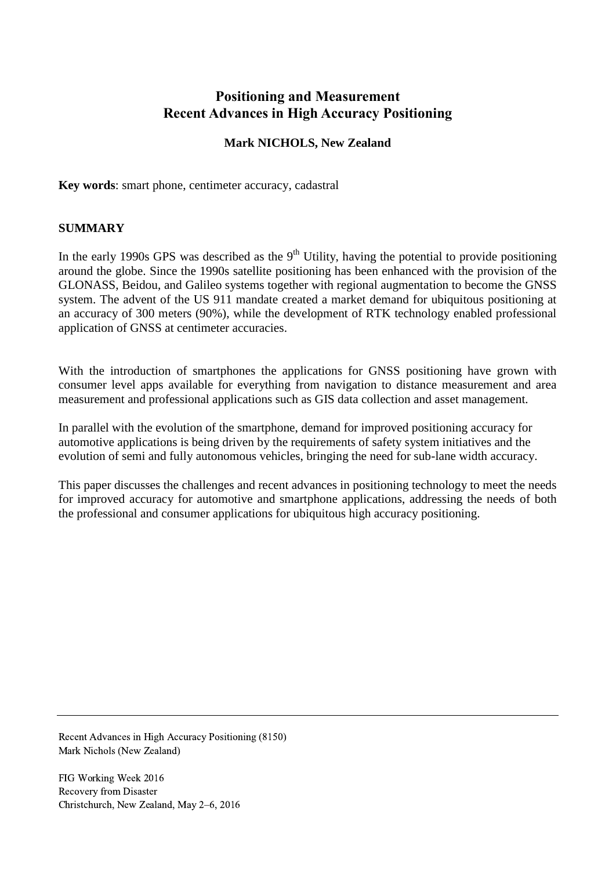# **Positioning and Measurement Recent Advances in High Accuracy Positioning**

# **Mark NICHOLS, New Zealand**

**Key words**: smart phone, centimeter accuracy, cadastral

#### **SUMMARY**

In the early 1990s GPS was described as the  $9<sup>th</sup>$  Utility, having the potential to provide positioning around the globe. Since the 1990s satellite positioning has been enhanced with the provision of the GLONASS, Beidou, and Galileo systems together with regional augmentation to become the GNSS system. The advent of the US 911 mandate created a market demand for ubiquitous positioning at an accuracy of 300 meters (90%), while the development of RTK technology enabled professional application of GNSS at centimeter accuracies.

With the introduction of smartphones the applications for GNSS positioning have grown with consumer level apps available for everything from navigation to distance measurement and area measurement and professional applications such as GIS data collection and asset management.

In parallel with the evolution of the smartphone, demand for improved positioning accuracy for automotive applications is being driven by the requirements of safety system initiatives and the evolution of semi and fully autonomous vehicles, bringing the need for sub-lane width accuracy.

This paper discusses the challenges and recent advances in positioning technology to meet the needs for improved accuracy for automotive and smartphone applications, addressing the needs of both the professional and consumer applications for ubiquitous high accuracy positioning.

Recent Advances in High Accuracy Positioning (8150) Mark Nichols (New Zealand)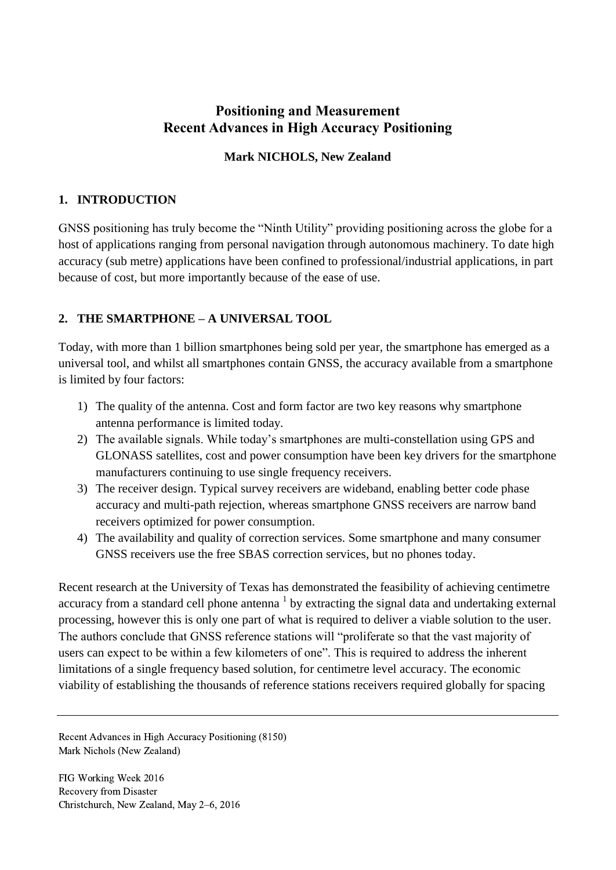# **Positioning and Measurement Recent Advances in High Accuracy Positioning**

### **Mark NICHOLS, New Zealand**

### **1. INTRODUCTION**

GNSS positioning has truly become the "Ninth Utility" providing positioning across the globe for a host of applications ranging from personal navigation through autonomous machinery. To date high accuracy (sub metre) applications have been confined to professional/industrial applications, in part because of cost, but more importantly because of the ease of use.

### **2. THE SMARTPHONE – A UNIVERSAL TOOL**

Today, with more than 1 billion smartphones being sold per year, the smartphone has emerged as a universal tool, and whilst all smartphones contain GNSS, the accuracy available from a smartphone is limited by four factors:

- 1) The quality of the antenna. Cost and form factor are two key reasons why smartphone antenna performance is limited today.
- 2) The available signals. While today's smartphones are multi-constellation using GPS and GLONASS satellites, cost and power consumption have been key drivers for the smartphone manufacturers continuing to use single frequency receivers.
- 3) The receiver design. Typical survey receivers are wideband, enabling better code phase accuracy and multi-path rejection, whereas smartphone GNSS receivers are narrow band receivers optimized for power consumption.
- 4) The availability and quality of correction services. Some smartphone and many consumer GNSS receivers use the free SBAS correction services, but no phones today.

Recent research at the University of Texas has demonstrated the feasibility of achieving centimetre accuracy from a standard cell phone antenna  $<sup>1</sup>$  by extracting the signal data and undertaking external</sup> processing, however this is only one part of what is required to deliver a viable solution to the user. The authors conclude that GNSS reference stations will "proliferate so that the vast majority of users can expect to be within a few kilometers of one". This is required to address the inherent limitations of a single frequency based solution, for centimetre level accuracy. The economic viability of establishing the thousands of reference stations receivers required globally for spacing

Recent Advances in High Accuracy Positioning (8150) Mark Nichols (New Zealand)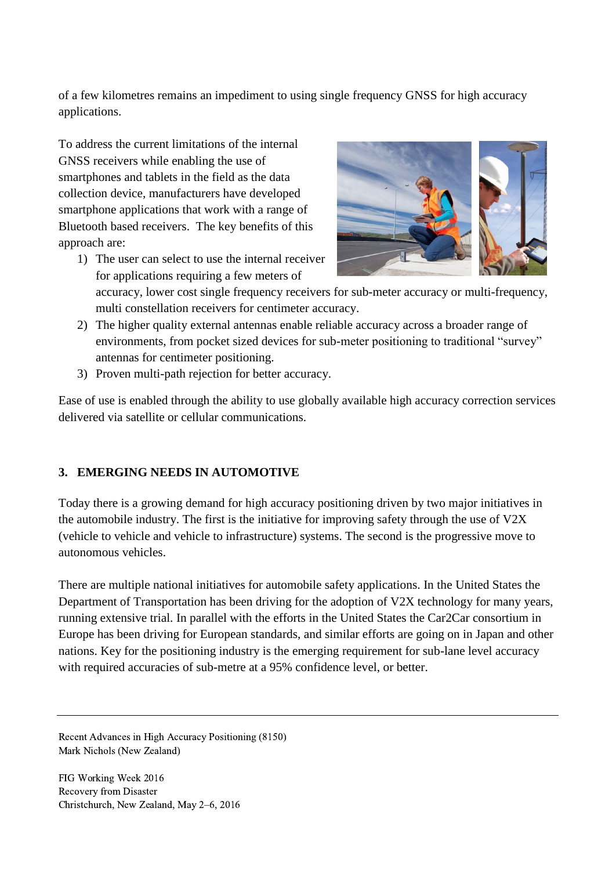of a few kilometres remains an impediment to using single frequency GNSS for high accuracy applications.

To address the current limitations of the internal GNSS receivers while enabling the use of smartphones and tablets in the field as the data collection device, manufacturers have developed smartphone applications that work with a range of Bluetooth based receivers. The key benefits of this approach are:

1) The user can select to use the internal receiver for applications requiring a few meters of



accuracy, lower cost single frequency receivers for sub-meter accuracy or multi-frequency, multi constellation receivers for centimeter accuracy.

- 2) The higher quality external antennas enable reliable accuracy across a broader range of environments, from pocket sized devices for sub-meter positioning to traditional "survey" antennas for centimeter positioning.
- 3) Proven multi-path rejection for better accuracy.

Ease of use is enabled through the ability to use globally available high accuracy correction services delivered via satellite or cellular communications.

# **3. EMERGING NEEDS IN AUTOMOTIVE**

Today there is a growing demand for high accuracy positioning driven by two major initiatives in the automobile industry. The first is the initiative for improving safety through the use of V2X (vehicle to vehicle and vehicle to infrastructure) systems. The second is the progressive move to autonomous vehicles.

There are multiple national initiatives for automobile safety applications. In the United States the Department of Transportation has been driving for the adoption of V2X technology for many years, running extensive trial. In parallel with the efforts in the United States the Car2Car consortium in Europe has been driving for European standards, and similar efforts are going on in Japan and other nations. Key for the positioning industry is the emerging requirement for sub-lane level accuracy with required accuracies of sub-metre at a 95% confidence level, or better.

Recent Advances in High Accuracy Positioning (8150) Mark Nichols (New Zealand)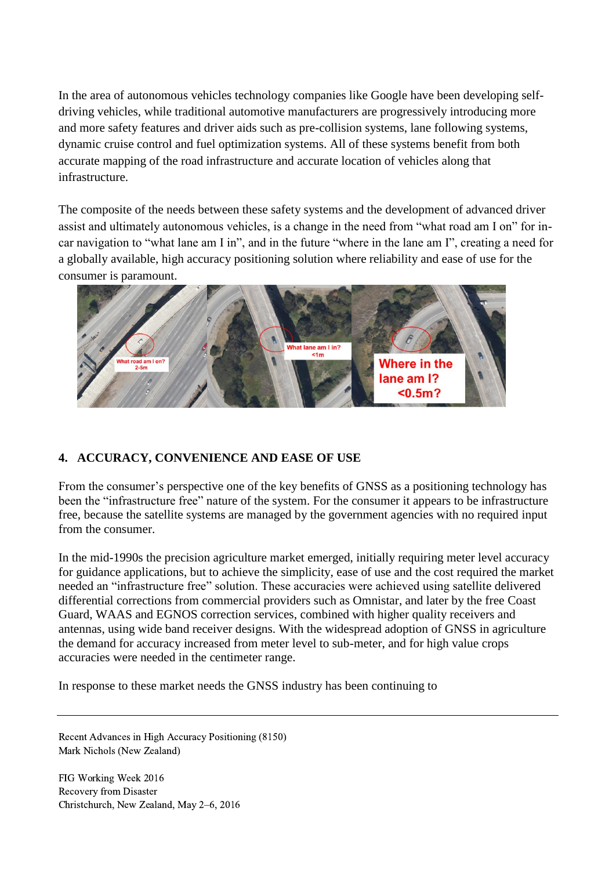In the area of autonomous vehicles technology companies like Google have been developing selfdriving vehicles, while traditional automotive manufacturers are progressively introducing more and more safety features and driver aids such as pre-collision systems, lane following systems, dynamic cruise control and fuel optimization systems. All of these systems benefit from both accurate mapping of the road infrastructure and accurate location of vehicles along that infrastructure.

The composite of the needs between these safety systems and the development of advanced driver assist and ultimately autonomous vehicles, is a change in the need from "what road am I on" for incar navigation to "what lane am I in", and in the future "where in the lane am I", creating a need for a globally available, high accuracy positioning solution where reliability and ease of use for the consumer is paramount.



# **4. ACCURACY, CONVENIENCE AND EASE OF USE**

From the consumer's perspective one of the key benefits of GNSS as a positioning technology has been the "infrastructure free" nature of the system. For the consumer it appears to be infrastructure free, because the satellite systems are managed by the government agencies with no required input from the consumer.

In the mid-1990s the precision agriculture market emerged, initially requiring meter level accuracy for guidance applications, but to achieve the simplicity, ease of use and the cost required the market needed an "infrastructure free" solution. These accuracies were achieved using satellite delivered differential corrections from commercial providers such as Omnistar, and later by the free Coast Guard, WAAS and EGNOS correction services, combined with higher quality receivers and antennas, using wide band receiver designs. With the widespread adoption of GNSS in agriculture the demand for accuracy increased from meter level to sub-meter, and for high value crops accuracies were needed in the centimeter range.

In response to these market needs the GNSS industry has been continuing to

Recent Advances in High Accuracy Positioning (8150) Mark Nichols (New Zealand)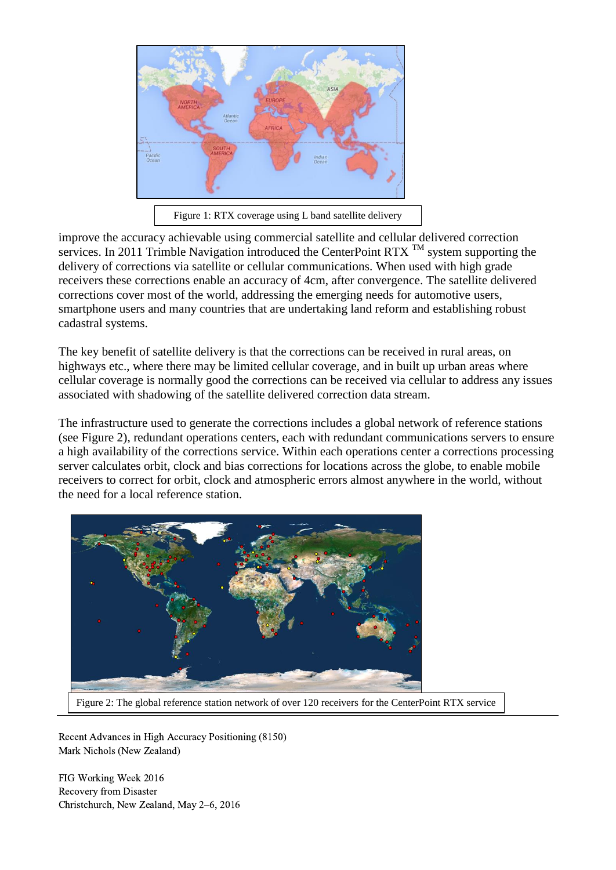

Figure 1: RTX coverage using L band satellite delivery

improve the accuracy achievable using commercial satellite and cellular delivered correction services. In 2011 Trimble Navigation introduced the CenterPoint RTX  $^{TM}$  system supporting the delivery of corrections via satellite or cellular communications. When used with high grade receivers these corrections enable an accuracy of 4cm, after convergence. The satellite delivered corrections cover most of the world, addressing the emerging needs for automotive users, smartphone users and many countries that are undertaking land reform and establishing robust cadastral systems.

The key benefit of satellite delivery is that the corrections can be received in rural areas, on highways etc., where there may be limited cellular coverage, and in built up urban areas where cellular coverage is normally good the corrections can be received via cellular to address any issues associated with shadowing of the satellite delivered correction data stream.

The infrastructure used to generate the corrections includes a global network of reference stations (see Figure 2), redundant operations centers, each with redundant communications servers to ensure a high availability of the corrections service. Within each operations center a corrections processing server calculates orbit, clock and bias corrections for locations across the globe, to enable mobile receivers to correct for orbit, clock and atmospheric errors almost anywhere in the world, without the need for a local reference station.



Figure 2: The global reference station network of over 120 receivers for the CenterPoint RTX service

Recent Advances in High Accuracy Positioning (8150) Mark Nichols (New Zealand)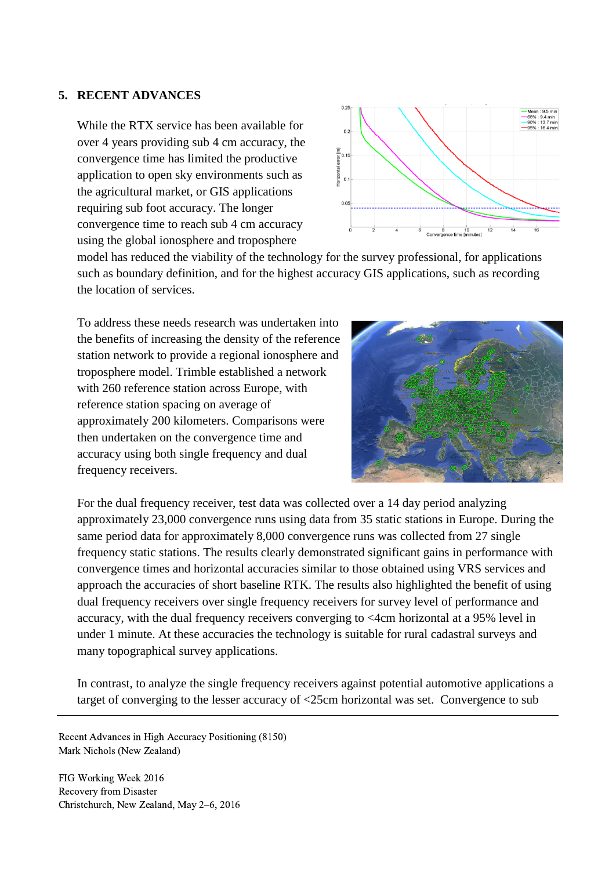#### **5. RECENT ADVANCES**

While the RTX service has been available for over 4 years providing sub 4 cm accuracy, the convergence time has limited the productive application to open sky environments such as the agricultural market, or GIS applications requiring sub foot accuracy. The longer convergence time to reach sub 4 cm accuracy using the global ionosphere and troposphere



model has reduced the viability of the technology for the survey professional, for applications such as boundary definition, and for the highest accuracy GIS applications, such as recording the location of services.

To address these needs research was undertaken into the benefits of increasing the density of the reference station network to provide a regional ionosphere and troposphere model. Trimble established a network with 260 reference station across Europe, with reference station spacing on average of approximately 200 kilometers. Comparisons were then undertaken on the convergence time and accuracy using both single frequency and dual frequency receivers.



For the dual frequency receiver, test data was collected over a 14 day period analyzing approximately 23,000 convergence runs using data from 35 static stations in Europe. During the same period data for approximately 8,000 convergence runs was collected from 27 single frequency static stations. The results clearly demonstrated significant gains in performance with convergence times and horizontal accuracies similar to those obtained using VRS services and approach the accuracies of short baseline RTK. The results also highlighted the benefit of using dual frequency receivers over single frequency receivers for survey level of performance and accuracy, with the dual frequency receivers converging to <4cm horizontal at a 95% level in under 1 minute. At these accuracies the technology is suitable for rural cadastral surveys and many topographical survey applications.

In contrast, to analyze the single frequency receivers against potential automotive applications a target of converging to the lesser accuracy of <25cm horizontal was set. Convergence to sub

Recent Advances in High Accuracy Positioning (8150) Mark Nichols (New Zealand)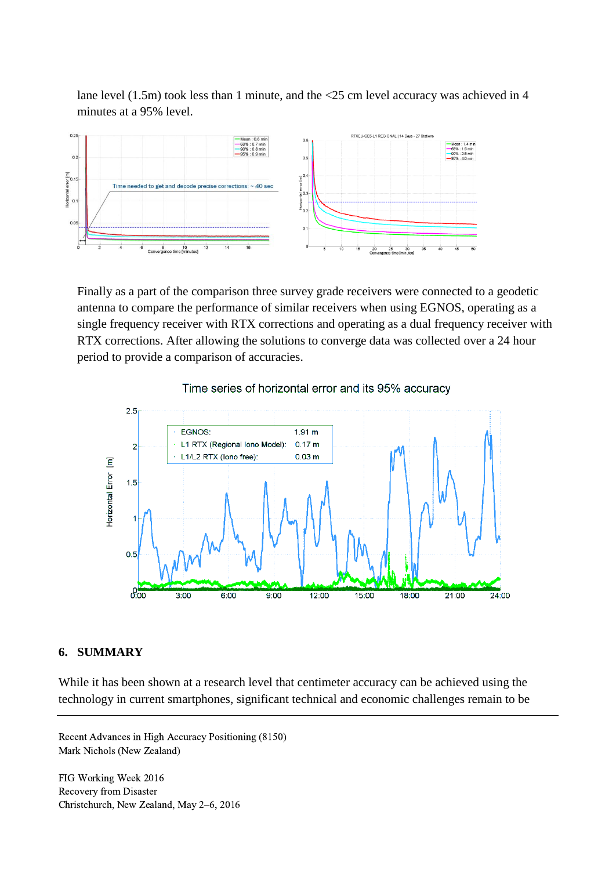lane level (1.5m) took less than 1 minute, and the <25 cm level accuracy was achieved in 4 minutes at a 95% level.



Finally as a part of the comparison three survey grade receivers were connected to a geodetic antenna to compare the performance of similar receivers when using EGNOS, operating as a single frequency receiver with RTX corrections and operating as a dual frequency receiver with RTX corrections. After allowing the solutions to converge data was collected over a 24 hour period to provide a comparison of accuracies.



### Time series of horizontal error and its 95% accuracy

### **6. SUMMARY**

While it has been shown at a research level that centimeter accuracy can be achieved using the technology in current smartphones, significant technical and economic challenges remain to be

Recent Advances in High Accuracy Positioning (8150) Mark Nichols (New Zealand)